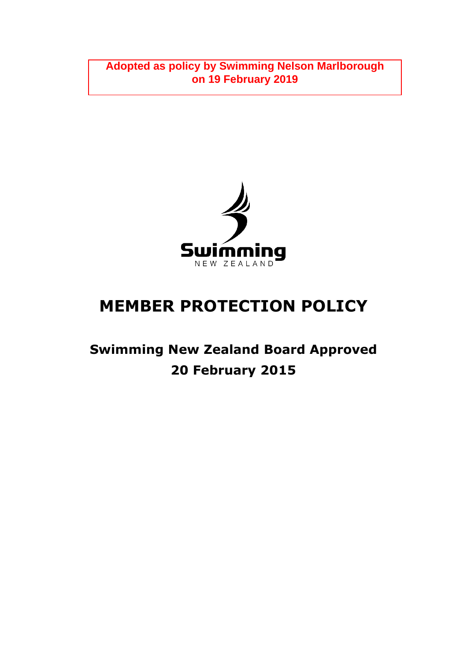**Adopted as policy by Swimming Nelson Marlborough on 19 February 2019**



# **MEMBER PROTECTION POLICY**

## **Swimming New Zealand Board Approved 20 February 2015**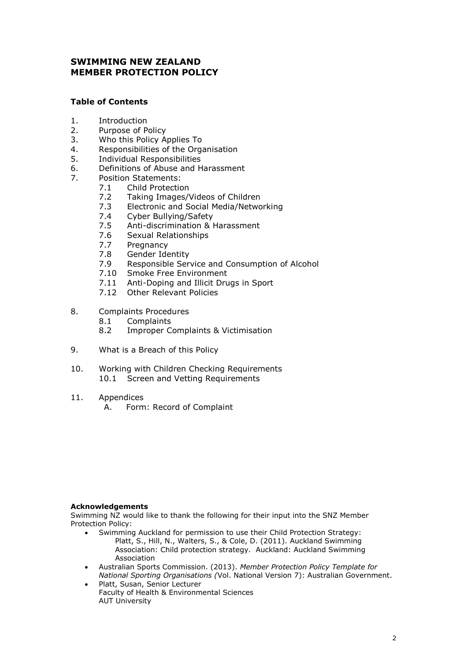## **SWIMMING NEW ZEALAND MEMBER PROTECTION POLICY**

## **Table of Contents**

- 1. Introduction
- 2. Purpose of Policy
- 3. Who this Policy Applies To
- 4. Responsibilities of the Organisation
- 5. Individual Responsibilities<br>6. Definitions of Abuse and H
- 6. Definitions of Abuse and Harassment
- 7. Position Statements:
	- 7.1 Child Protection
	- 7.2 Taking Images/Videos of Children
	- 7.3 Electronic and Social Media/Networking
	- 7.4 Cyber Bullying/Safety
	- 7.5 Anti-discrimination & Harassment
	- 7.6 Sexual Relationships
	- 7.7 Pregnancy
	- 7.8 Gender Identity<br>7.9 Responsible Serv
	- Responsible Service and Consumption of Alcohol
	- 7.10 Smoke Free Environment
	- 7.11 Anti-Doping and Illicit Drugs in Sport
	- 7.12 Other Relevant Policies
- 8. Complaints Procedures<br>8.1 Complaints
	- **Complaints**
	- 8.2 Improper Complaints & Victimisation
- 9. What is a Breach of this Policy
- 10. Working with Children Checking Requirements 10.1 Screen and Vetting Requirements
- 11. Appendices
	- A. Form: Record of Complaint

#### **Acknowledgements**

Swimming NZ would like to thank the following for their input into the SNZ Member Protection Policy:

- Swimming Auckland for permission to use their Child Protection Strategy: Platt, S., Hill, N., Walters, S., & Cole, D. (2011). Auckland Swimming Association: Child protection strategy. Auckland: Auckland Swimming Association
- Australian Sports Commission. (2013). *Member Protection Policy Template for National Sporting Organisations (*Vol. National Version 7): Australian Government.
- Platt, Susan, Senior Lecturer Faculty of Health & Environmental Sciences AUT University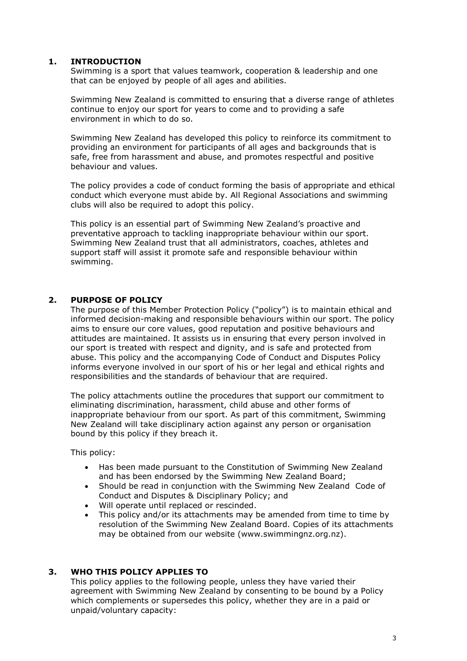## **1. INTRODUCTION**

Swimming is a sport that values teamwork, cooperation & leadership and one that can be enjoyed by people of all ages and abilities.

Swimming New Zealand is committed to ensuring that a diverse range of athletes continue to enjoy our sport for years to come and to providing a safe environment in which to do so.

Swimming New Zealand has developed this policy to reinforce its commitment to providing an environment for participants of all ages and backgrounds that is safe, free from harassment and abuse, and promotes respectful and positive behaviour and values.

The policy provides a code of conduct forming the basis of appropriate and ethical conduct which everyone must abide by. All Regional Associations and swimming clubs will also be required to adopt this policy.

This policy is an essential part of Swimming New Zealand's proactive and preventative approach to tackling inappropriate behaviour within our sport. Swimming New Zealand trust that all administrators, coaches, athletes and support staff will assist it promote safe and responsible behaviour within swimming.

## **2. PURPOSE OF POLICY**

The purpose of this Member Protection Policy ("policy") is to maintain ethical and informed decision-making and responsible behaviours within our sport. The policy aims to ensure our core values, good reputation and positive behaviours and attitudes are maintained. It assists us in ensuring that every person involved in our sport is treated with respect and dignity, and is safe and protected from abuse. This policy and the accompanying Code of Conduct and Disputes Policy informs everyone involved in our sport of his or her legal and ethical rights and responsibilities and the standards of behaviour that are required.

The policy attachments outline the procedures that support our commitment to eliminating discrimination, harassment, child abuse and other forms of inappropriate behaviour from our sport. As part of this commitment, Swimming New Zealand will take disciplinary action against any person or organisation bound by this policy if they breach it.

This policy:

- Has been made pursuant to the Constitution of Swimming New Zealand and has been endorsed by the Swimming New Zealand Board;
- Should be read in conjunction with the Swimming New Zealand Code of Conduct and Disputes & Disciplinary Policy; and
- Will operate until replaced or rescinded.
- This policy and/or its attachments may be amended from time to time by resolution of the Swimming New Zealand Board. Copies of its attachments may be obtained from our website (www.swimmingnz.org.nz).

## **3. WHO THIS POLICY APPLIES TO**

This policy applies to the following people, unless they have varied their agreement with Swimming New Zealand by consenting to be bound by a Policy which complements or supersedes this policy, whether they are in a paid or unpaid/voluntary capacity: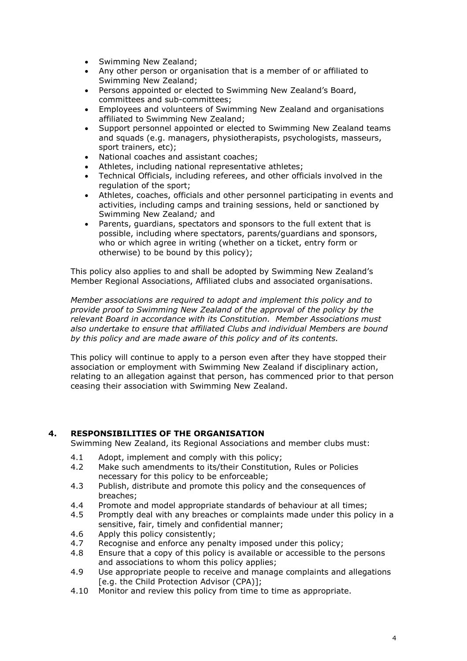- Swimming New Zealand;
- Any other person or organisation that is a member of or affiliated to Swimming New Zealand;
- Persons appointed or elected to Swimming New Zealand's Board, committees and sub-committees;
- Employees and volunteers of Swimming New Zealand and organisations affiliated to Swimming New Zealand;
- Support personnel appointed or elected to Swimming New Zealand teams and squads (e.g. managers, physiotherapists, psychologists, masseurs, sport trainers, etc);
- National coaches and assistant coaches;
- Athletes, including national representative athletes;
- Technical Officials, including referees, and other officials involved in the regulation of the sport;
- Athletes, coaches, officials and other personnel participating in events and activities, including camps and training sessions, held or sanctioned by Swimming New Zealand*;* and
- Parents, guardians, spectators and sponsors to the full extent that is possible, including where spectators, parents/guardians and sponsors, who or which agree in writing (whether on a ticket, entry form or otherwise) to be bound by this policy);

This policy also applies to and shall be adopted by Swimming New Zealand's Member Regional Associations, Affiliated clubs and associated organisations.

*Member associations are required to adopt and implement this policy and to provide proof to Swimming New Zealand of the approval of the policy by the relevant Board in accordance with its Constitution. Member Associations must also undertake to ensure that affiliated Clubs and individual Members are bound by this policy and are made aware of this policy and of its contents.*

This policy will continue to apply to a person even after they have stopped their association or employment with Swimming New Zealand if disciplinary action, relating to an allegation against that person, has commenced prior to that person ceasing their association with Swimming New Zealand.

## **4. RESPONSIBILITIES OF THE ORGANISATION**

Swimming New Zealand, its Regional Associations and member clubs must:

- 4.1 Adopt, implement and comply with this policy;
- 4.2 Make such amendments to its/their Constitution, Rules or Policies necessary for this policy to be enforceable;
- 4.3 Publish, distribute and promote this policy and the consequences of breaches;
- 4.4 Promote and model appropriate standards of behaviour at all times;
- 4.5 Promptly deal with any breaches or complaints made under this policy in a sensitive, fair, timely and confidential manner;
- 4.6 Apply this policy consistently;
- 4.7 Recognise and enforce any penalty imposed under this policy;
- 4.8 Ensure that a copy of this policy is available or accessible to the persons and associations to whom this policy applies;
- 4.9 Use appropriate people to receive and manage complaints and allegations [e.g. the Child Protection Advisor (CPA)];
- 4.10 Monitor and review this policy from time to time as appropriate.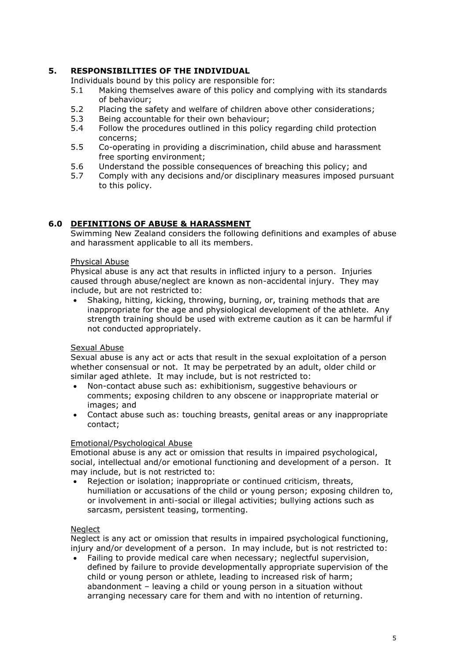## **5. RESPONSIBILITIES OF THE INDIVIDUAL**

Individuals bound by this policy are responsible for:

- 5.1 Making themselves aware of this policy and complying with its standards of behaviour;
- 5.2 Placing the safety and welfare of children above other considerations;
- 5.3 Being accountable for their own behaviour;
- 5.4 Follow the procedures outlined in this policy regarding child protection concerns;
- 5.5 Co-operating in providing a discrimination, child abuse and harassment free sporting environment;
- 5.6 Understand the possible consequences of breaching this policy; and
- 5.7 Comply with any decisions and/or disciplinary measures imposed pursuant to this policy.

## **6.0 DEFINITIONS OF ABUSE & HARASSMENT**

Swimming New Zealand considers the following definitions and examples of abuse and harassment applicable to all its members.

## Physical Abuse

Physical abuse is any act that results in inflicted injury to a person. Injuries caused through abuse/neglect are known as non-accidental injury. They may include, but are not restricted to:

 Shaking, hitting, kicking, throwing, burning, or, training methods that are inappropriate for the age and physiological development of the athlete. Any strength training should be used with extreme caution as it can be harmful if not conducted appropriately.

#### Sexual Abuse

Sexual abuse is any act or acts that result in the sexual exploitation of a person whether consensual or not. It may be perpetrated by an adult, older child or similar aged athlete. It may include, but is not restricted to:

- Non-contact abuse such as: exhibitionism, suggestive behaviours or comments; exposing children to any obscene or inappropriate material or images; and
- Contact abuse such as: touching breasts, genital areas or any inappropriate contact;

#### Emotional/Psychological Abuse

Emotional abuse is any act or omission that results in impaired psychological, social, intellectual and/or emotional functioning and development of a person. It may include, but is not restricted to:

 Rejection or isolation; inappropriate or continued criticism, threats, humiliation or accusations of the child or young person; exposing children to, or involvement in anti-social or illegal activities; bullying actions such as sarcasm, persistent teasing, tormenting.

#### **Neglect**

Neglect is any act or omission that results in impaired psychological functioning, injury and/or development of a person. In may include, but is not restricted to:

 Failing to provide medical care when necessary; neglectful supervision, defined by failure to provide developmentally appropriate supervision of the child or young person or athlete, leading to increased risk of harm; abandonment – leaving a child or young person in a situation without arranging necessary care for them and with no intention of returning.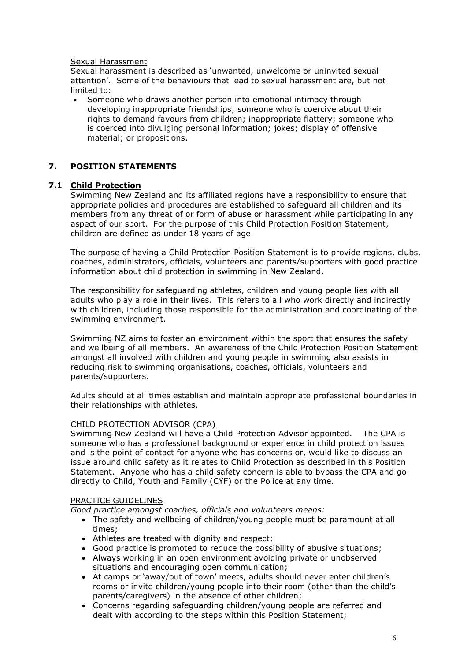#### Sexual Harassment

Sexual harassment is described as 'unwanted, unwelcome or uninvited sexual attention'. Some of the behaviours that lead to sexual harassment are, but not limited to:

 Someone who draws another person into emotional intimacy through developing inappropriate friendships; someone who is coercive about their rights to demand favours from children; inappropriate flattery; someone who is coerced into divulging personal information; jokes; display of offensive material; or propositions.

## **7. POSITION STATEMENTS**

#### **7.1 Child Protection**

Swimming New Zealand and its affiliated regions have a responsibility to ensure that appropriate policies and procedures are established to safeguard all children and its members from any threat of or form of abuse or harassment while participating in any aspect of our sport. For the purpose of this Child Protection Position Statement, children are defined as under 18 years of age.

The purpose of having a Child Protection Position Statement is to provide regions, clubs, coaches, administrators, officials, volunteers and parents/supporters with good practice information about child protection in swimming in New Zealand.

The responsibility for safeguarding athletes, children and young people lies with all adults who play a role in their lives. This refers to all who work directly and indirectly with children, including those responsible for the administration and coordinating of the swimming environment.

Swimming NZ aims to foster an environment within the sport that ensures the safety and wellbeing of all members. An awareness of the Child Protection Position Statement amongst all involved with children and young people in swimming also assists in reducing risk to swimming organisations, coaches, officials, volunteers and parents/supporters.

Adults should at all times establish and maintain appropriate professional boundaries in their relationships with athletes.

#### CHILD PROTECTION ADVISOR (CPA)

Swimming New Zealand will have a Child Protection Advisor appointed. The CPA is someone who has a professional background or experience in child protection issues and is the point of contact for anyone who has concerns or, would like to discuss an issue around child safety as it relates to Child Protection as described in this Position Statement. Anyone who has a child safety concern is able to bypass the CPA and go directly to Child, Youth and Family (CYF) or the Police at any time.

#### PRACTICE GUIDELINES

*Good practice amongst coaches, officials and volunteers means:*

- The safety and wellbeing of children/young people must be paramount at all times;
- Athletes are treated with dignity and respect;
- Good practice is promoted to reduce the possibility of abusive situations;
- Always working in an open environment avoiding private or unobserved situations and encouraging open communication;
- At camps or 'away/out of town' meets, adults should never enter children's rooms or invite children/young people into their room (other than the child's parents/caregivers) in the absence of other children;
- Concerns regarding safeguarding children/young people are referred and dealt with according to the steps within this Position Statement;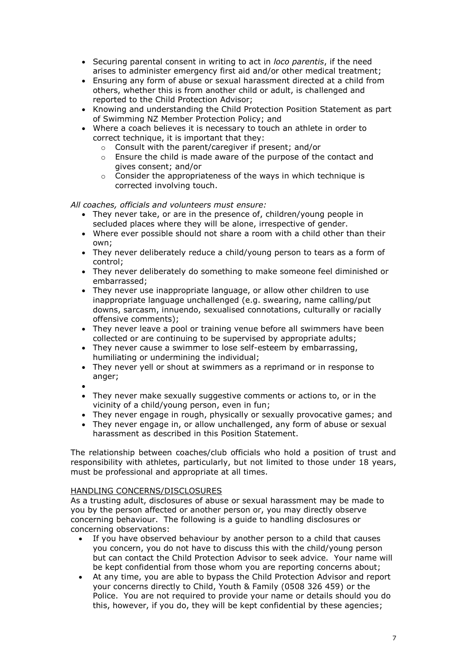- Securing parental consent in writing to act in *loco parentis*, if the need arises to administer emergency first aid and/or other medical treatment;
- Ensuring any form of abuse or sexual harassment directed at a child from others, whether this is from another child or adult, is challenged and reported to the Child Protection Advisor;
- Knowing and understanding the Child Protection Position Statement as part of Swimming NZ Member Protection Policy; and
- Where a coach believes it is necessary to touch an athlete in order to correct technique, it is important that they:
	- o Consult with the parent/caregiver if present; and/or
	- $\circ$  Ensure the child is made aware of the purpose of the contact and gives consent; and/or
	- o Consider the appropriateness of the ways in which technique is corrected involving touch.

*All coaches, officials and volunteers must ensure:*

- They never take, or are in the presence of, children/young people in secluded places where they will be alone, irrespective of gender.
- Where ever possible should not share a room with a child other than their own;
- They never deliberately reduce a child/young person to tears as a form of control;
- They never deliberately do something to make someone feel diminished or embarrassed;
- They never use inappropriate language, or allow other children to use inappropriate language unchallenged (e.g. swearing, name calling/put downs, sarcasm, innuendo, sexualised connotations, culturally or racially offensive comments);
- They never leave a pool or training venue before all swimmers have been collected or are continuing to be supervised by appropriate adults;
- They never cause a swimmer to lose self-esteem by embarrassing, humiliating or undermining the individual;
- They never yell or shout at swimmers as a reprimand or in response to anger:
- $\bullet$
- They never make sexually suggestive comments or actions to, or in the vicinity of a child/young person, even in fun;
- They never engage in rough, physically or sexually provocative games; and
- They never engage in, or allow unchallenged, any form of abuse or sexual harassment as described in this Position Statement.

The relationship between coaches/club officials who hold a position of trust and responsibility with athletes, particularly, but not limited to those under 18 years, must be professional and appropriate at all times.

#### HANDLING CONCERNS/DISCLOSURES

As a trusting adult, disclosures of abuse or sexual harassment may be made to you by the person affected or another person or, you may directly observe concerning behaviour. The following is a guide to handling disclosures or concerning observations:

- If you have observed behaviour by another person to a child that causes you concern, you do not have to discuss this with the child/young person but can contact the Child Protection Advisor to seek advice. Your name will be kept confidential from those whom you are reporting concerns about;
- At any time, you are able to bypass the Child Protection Advisor and report your concerns directly to Child, Youth & Family (0508 326 459) or the Police. You are not required to provide your name or details should you do this, however, if you do, they will be kept confidential by these agencies;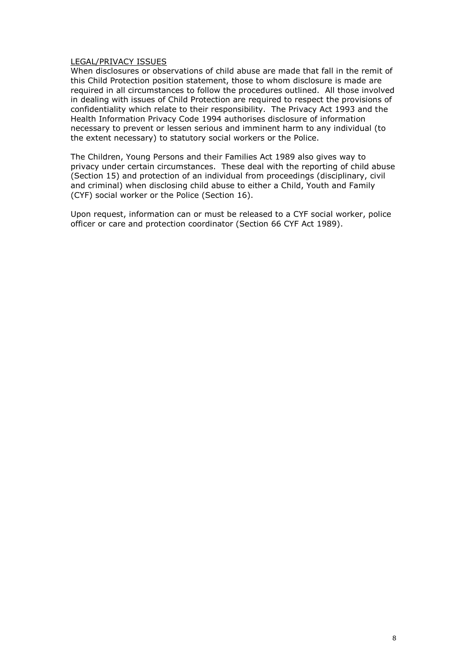#### LEGAL/PRIVACY ISSUES

When disclosures or observations of child abuse are made that fall in the remit of this Child Protection position statement, those to whom disclosure is made are required in all circumstances to follow the procedures outlined. All those involved in dealing with issues of Child Protection are required to respect the provisions of confidentiality which relate to their responsibility. The Privacy Act 1993 and the Health Information Privacy Code 1994 authorises disclosure of information necessary to prevent or lessen serious and imminent harm to any individual (to the extent necessary) to statutory social workers or the Police.

The Children, Young Persons and their Families Act 1989 also gives way to privacy under certain circumstances. These deal with the reporting of child abuse (Section 15) and protection of an individual from proceedings (disciplinary, civil and criminal) when disclosing child abuse to either a Child, Youth and Family (CYF) social worker or the Police (Section 16).

Upon request, information can or must be released to a CYF social worker, police officer or care and protection coordinator (Section 66 CYF Act 1989).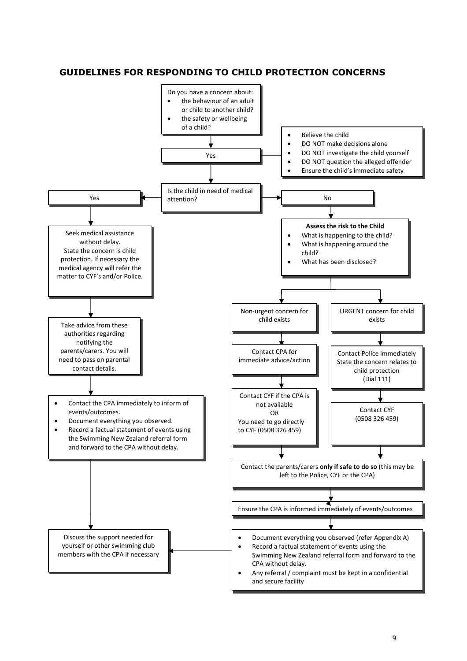## **GUIDELINES FOR RESPONDING TO CHILD PROTECTION CONCERNS**

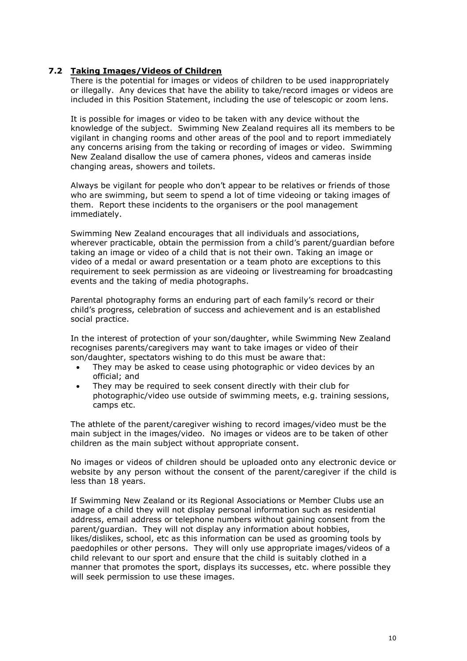## **7.2 Taking Images/Videos of Children**

There is the potential for images or videos of children to be used inappropriately or illegally. Any devices that have the ability to take/record images or videos are included in this Position Statement, including the use of telescopic or zoom lens.

It is possible for images or video to be taken with any device without the knowledge of the subject. Swimming New Zealand requires all its members to be vigilant in changing rooms and other areas of the pool and to report immediately any concerns arising from the taking or recording of images or video. Swimming New Zealand disallow the use of camera phones, videos and cameras inside changing areas, showers and toilets.

Always be vigilant for people who don't appear to be relatives or friends of those who are swimming, but seem to spend a lot of time videoing or taking images of them. Report these incidents to the organisers or the pool management immediately.

Swimming New Zealand encourages that all individuals and associations, wherever practicable, obtain the permission from a child's parent/guardian before taking an image or video of a child that is not their own. Taking an image or video of a medal or award presentation or a team photo are exceptions to this requirement to seek permission as are videoing or livestreaming for broadcasting events and the taking of media photographs.

Parental photography forms an enduring part of each family's record or their child's progress, celebration of success and achievement and is an established social practice.

In the interest of protection of your son/daughter, while Swimming New Zealand recognises parents/caregivers may want to take images or video of their son/daughter, spectators wishing to do this must be aware that:

- They may be asked to cease using photographic or video devices by an official; and
- They may be required to seek consent directly with their club for photographic/video use outside of swimming meets, e.g. training sessions, camps etc.

The athlete of the parent/caregiver wishing to record images/video must be the main subject in the images/video. No images or videos are to be taken of other children as the main subject without appropriate consent.

No images or videos of children should be uploaded onto any electronic device or website by any person without the consent of the parent/caregiver if the child is less than 18 years.

If Swimming New Zealand or its Regional Associations or Member Clubs use an image of a child they will not display personal information such as residential address, email address or telephone numbers without gaining consent from the parent/guardian. They will not display any information about hobbies, likes/dislikes, school, etc as this information can be used as grooming tools by paedophiles or other persons. They will only use appropriate images/videos of a child relevant to our sport and ensure that the child is suitably clothed in a manner that promotes the sport, displays its successes, etc. where possible they will seek permission to use these images.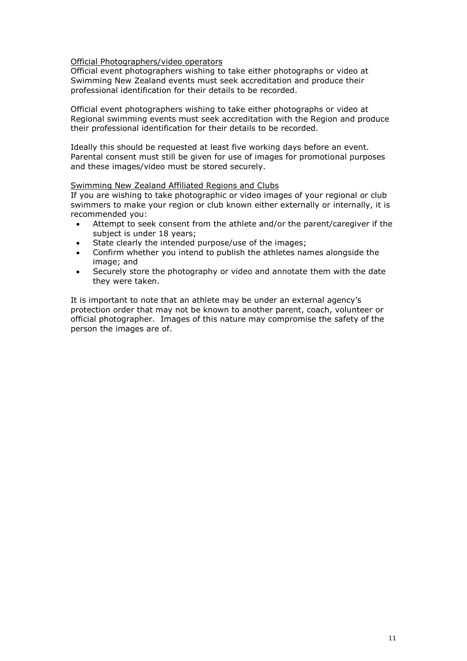#### Official Photographers/video operators

Official event photographers wishing to take either photographs or video at Swimming New Zealand events must seek accreditation and produce their professional identification for their details to be recorded.

Official event photographers wishing to take either photographs or video at Regional swimming events must seek accreditation with the Region and produce their professional identification for their details to be recorded.

Ideally this should be requested at least five working days before an event. Parental consent must still be given for use of images for promotional purposes and these images/video must be stored securely.

#### Swimming New Zealand Affiliated Regions and Clubs

If you are wishing to take photographic or video images of your regional or club swimmers to make your region or club known either externally or internally, it is recommended you:

- Attempt to seek consent from the athlete and/or the parent/caregiver if the subject is under 18 years;
- State clearly the intended purpose/use of the images;
- Confirm whether you intend to publish the athletes names alongside the image; and
- Securely store the photography or video and annotate them with the date they were taken.

It is important to note that an athlete may be under an external agency's protection order that may not be known to another parent, coach, volunteer or official photographer. Images of this nature may compromise the safety of the person the images are of.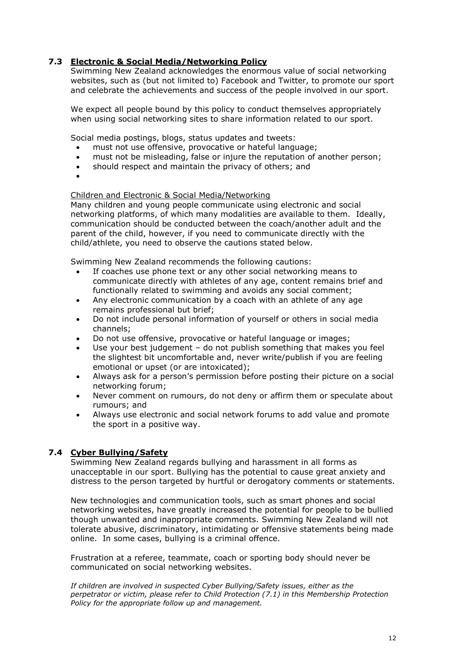## **7.3 Electronic & Social Media/Networking Policy**

Swimming New Zealand acknowledges the enormous value of social networking websites, such as (but not limited to) Facebook and Twitter, to promote our sport and celebrate the achievements and success of the people involved in our sport.

We expect all people bound by this policy to conduct themselves appropriately when using social networking sites to share information related to our sport.

Social media postings, blogs, status updates and tweets:

- must not use offensive, provocative or hateful language;
- must not be misleading, false or injure the reputation of another person;
- should respect and maintain the privacy of others; and
- $\bullet$

## Children and Electronic & Social Media/Networking

Many children and young people communicate using electronic and social networking platforms, of which many modalities are available to them. Ideally, communication should be conducted between the coach/another adult and the parent of the child, however, if you need to communicate directly with the child/athlete, you need to observe the cautions stated below.

Swimming New Zealand recommends the following cautions:

- If coaches use phone text or any other social networking means to communicate directly with athletes of any age, content remains brief and functionally related to swimming and avoids any social comment;
- Any electronic communication by a coach with an athlete of any age remains professional but brief;
- Do not include personal information of yourself or others in social media channels;
- Do not use offensive, provocative or hateful language or images;
- Use your best judgement do not publish something that makes you feel the slightest bit uncomfortable and, never write/publish if you are feeling emotional or upset (or are intoxicated);
- Always ask for a person's permission before posting their picture on a social networking forum;
- Never comment on rumours, do not deny or affirm them or speculate about rumours; and
- Always use electronic and social network forums to add value and promote the sport in a positive way.

## **7.4 Cyber Bullying/Safety**

Swimming New Zealand regards bullying and harassment in all forms as unacceptable in our sport. Bullying has the potential to cause great anxiety and distress to the person targeted by hurtful or derogatory comments or statements.

New technologies and communication tools, such as smart phones and social networking websites, have greatly increased the potential for people to be bullied though unwanted and inappropriate comments. Swimming New Zealand will not tolerate abusive, discriminatory, intimidating or offensive statements being made online. In some cases, bullying is a criminal offence.

Frustration at a referee, teammate, coach or sporting body should never be communicated on social networking websites.

*If children are involved in suspected Cyber Bullying/Safety issues, either as the perpetrator or victim, please refer to Child Protection (7.1) in this Membership Protection Policy for the appropriate follow up and management.*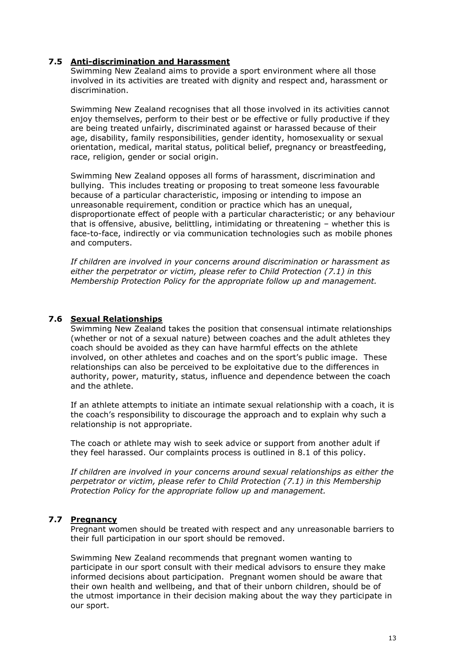## **7.5 Anti-discrimination and Harassment**

Swimming New Zealand aims to provide a sport environment where all those involved in its activities are treated with dignity and respect and, harassment or discrimination.

Swimming New Zealand recognises that all those involved in its activities cannot enjoy themselves, perform to their best or be effective or fully productive if they are being treated unfairly, discriminated against or harassed because of their age, disability, family responsibilities, gender identity, homosexuality or sexual orientation, medical, marital status, political belief, pregnancy or breastfeeding, race, religion, gender or social origin.

Swimming New Zealand opposes all forms of harassment, discrimination and bullying. This includes treating or proposing to treat someone less favourable because of a particular characteristic, imposing or intending to impose an unreasonable requirement, condition or practice which has an unequal, disproportionate effect of people with a particular characteristic; or any behaviour that is offensive, abusive, belittling, intimidating or threatening – whether this is face-to-face, indirectly or via communication technologies such as mobile phones and computers.

*If children are involved in your concerns around discrimination or harassment as either the perpetrator or victim, please refer to Child Protection (7.1) in this Membership Protection Policy for the appropriate follow up and management.*

## **7.6 Sexual Relationships**

Swimming New Zealand takes the position that consensual intimate relationships (whether or not of a sexual nature) between coaches and the adult athletes they coach should be avoided as they can have harmful effects on the athlete involved, on other athletes and coaches and on the sport's public image. These relationships can also be perceived to be exploitative due to the differences in authority, power, maturity, status, influence and dependence between the coach and the athlete.

If an athlete attempts to initiate an intimate sexual relationship with a coach, it is the coach's responsibility to discourage the approach and to explain why such a relationship is not appropriate.

The coach or athlete may wish to seek advice or support from another adult if they feel harassed. Our complaints process is outlined in 8.1 of this policy.

*If children are involved in your concerns around sexual relationships as either the perpetrator or victim, please refer to Child Protection (7.1) in this Membership Protection Policy for the appropriate follow up and management.* 

#### **7.7 Pregnancy**

Pregnant women should be treated with respect and any unreasonable barriers to their full participation in our sport should be removed.

Swimming New Zealand recommends that pregnant women wanting to participate in our sport consult with their medical advisors to ensure they make informed decisions about participation. Pregnant women should be aware that their own health and wellbeing, and that of their unborn children, should be of the utmost importance in their decision making about the way they participate in our sport.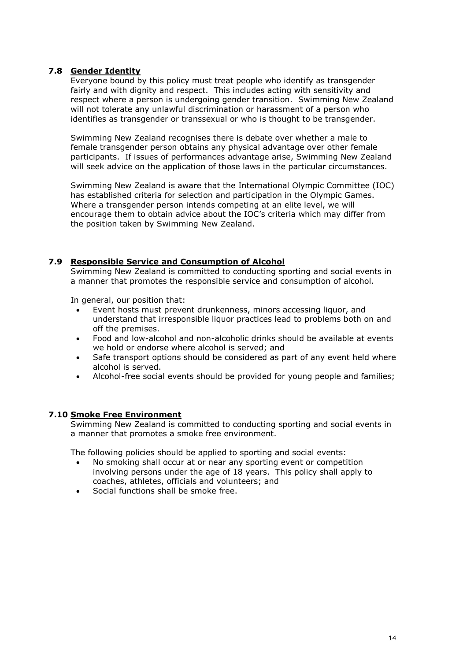## **7.8 Gender Identity**

Everyone bound by this policy must treat people who identify as transgender fairly and with dignity and respect. This includes acting with sensitivity and respect where a person is undergoing gender transition. Swimming New Zealand will not tolerate any unlawful discrimination or harassment of a person who identifies as transgender or transsexual or who is thought to be transgender.

Swimming New Zealand recognises there is debate over whether a male to female transgender person obtains any physical advantage over other female participants. If issues of performances advantage arise, Swimming New Zealand will seek advice on the application of those laws in the particular circumstances.

Swimming New Zealand is aware that the International Olympic Committee (IOC) has established criteria for selection and participation in the Olympic Games. Where a transgender person intends competing at an elite level, we will encourage them to obtain advice about the IOC's criteria which may differ from the position taken by Swimming New Zealand.

## **7.9 Responsible Service and Consumption of Alcohol**

Swimming New Zealand is committed to conducting sporting and social events in a manner that promotes the responsible service and consumption of alcohol.

In general, our position that:

- Event hosts must prevent drunkenness, minors accessing liquor, and understand that irresponsible liquor practices lead to problems both on and off the premises.
- Food and low-alcohol and non-alcoholic drinks should be available at events we hold or endorse where alcohol is served; and
- Safe transport options should be considered as part of any event held where alcohol is served.
- Alcohol-free social events should be provided for young people and families;

#### **7.10 Smoke Free Environment**

Swimming New Zealand is committed to conducting sporting and social events in a manner that promotes a smoke free environment.

The following policies should be applied to sporting and social events:

- No smoking shall occur at or near any sporting event or competition involving persons under the age of 18 years. This policy shall apply to coaches, athletes, officials and volunteers; and
- Social functions shall be smoke free.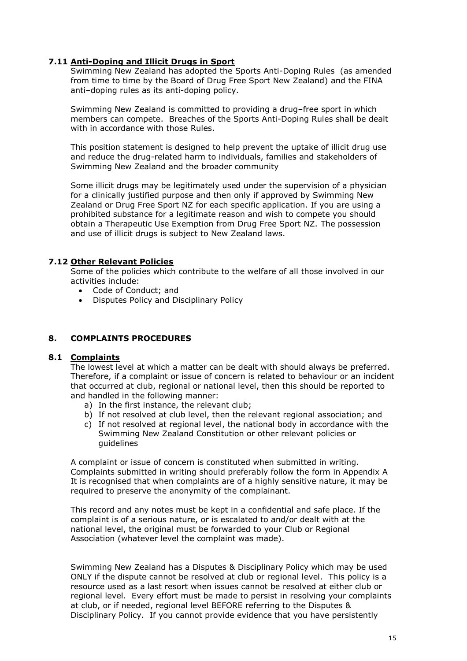## **7.11 Anti-Doping and Illicit Drugs in Sport**

Swimming New Zealand has adopted the Sports Anti-Doping Rules (as amended from time to time by the Board of Drug Free Sport New Zealand) and the FINA anti–doping rules as its anti-doping policy.

Swimming New Zealand is committed to providing a drug–free sport in which members can compete. Breaches of the Sports Anti-Doping Rules shall be dealt with in accordance with those Rules.

This position statement is designed to help prevent the uptake of illicit drug use and reduce the drug-related harm to individuals, families and stakeholders of Swimming New Zealand and the broader community

Some illicit drugs may be legitimately used under the supervision of a physician for a clinically justified purpose and then only if approved by Swimming New Zealand or Drug Free Sport NZ for each specific application. If you are using a prohibited substance for a legitimate reason and wish to compete you should obtain a Therapeutic Use Exemption from Drug Free Sport NZ. The possession and use of illicit drugs is subject to New Zealand laws.

## **7.12 Other Relevant Policies**

Some of the policies which contribute to the welfare of all those involved in our activities include:

- Code of Conduct; and
- Disputes Policy and Disciplinary Policy

#### **8. COMPLAINTS PROCEDURES**

#### **8.1 Complaints**

The lowest level at which a matter can be dealt with should always be preferred. Therefore, if a complaint or issue of concern is related to behaviour or an incident that occurred at club, regional or national level, then this should be reported to and handled in the following manner:

- a) In the first instance, the relevant club;
- b) If not resolved at club level, then the relevant regional association; and
- c) If not resolved at regional level, the national body in accordance with the Swimming New Zealand Constitution or other relevant policies or guidelines

A complaint or issue of concern is constituted when submitted in writing. Complaints submitted in writing should preferably follow the form in Appendix A It is recognised that when complaints are of a highly sensitive nature, it may be required to preserve the anonymity of the complainant.

This record and any notes must be kept in a confidential and safe place. If the complaint is of a serious nature, or is escalated to and/or dealt with at the national level, the original must be forwarded to your Club or Regional Association (whatever level the complaint was made).

Swimming New Zealand has a Disputes & Disciplinary Policy which may be used ONLY if the dispute cannot be resolved at club or regional level. This policy is a resource used as a last resort when issues cannot be resolved at either club or regional level. Every effort must be made to persist in resolving your complaints at club, or if needed, regional level BEFORE referring to the Disputes & Disciplinary Policy. If you cannot provide evidence that you have persistently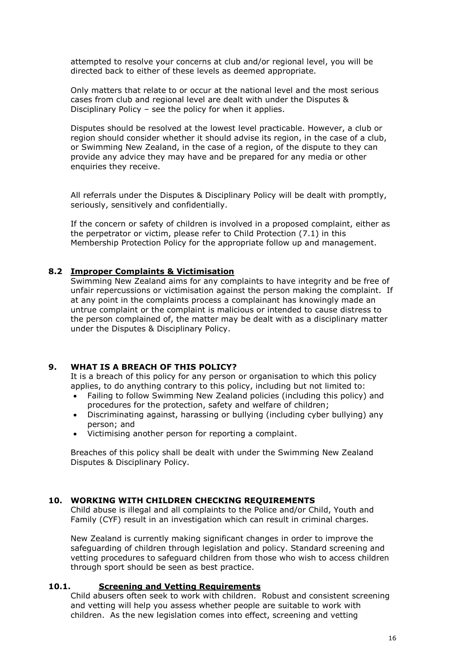attempted to resolve your concerns at club and/or regional level, you will be directed back to either of these levels as deemed appropriate.

Only matters that relate to or occur at the national level and the most serious cases from club and regional level are dealt with under the Disputes & Disciplinary Policy – see the policy for when it applies.

Disputes should be resolved at the lowest level practicable. However, a club or region should consider whether it should advise its region, in the case of a club, or Swimming New Zealand, in the case of a region, of the dispute to they can provide any advice they may have and be prepared for any media or other enquiries they receive.

All referrals under the Disputes & Disciplinary Policy will be dealt with promptly, seriously, sensitively and confidentially.

If the concern or safety of children is involved in a proposed complaint, either as the perpetrator or victim, please refer to Child Protection (7.1) in this Membership Protection Policy for the appropriate follow up and management.

## **8.2 Improper Complaints & Victimisation**

Swimming New Zealand aims for any complaints to have integrity and be free of unfair repercussions or victimisation against the person making the complaint. If at any point in the complaints process a complainant has knowingly made an untrue complaint or the complaint is malicious or intended to cause distress to the person complained of, the matter may be dealt with as a disciplinary matter under the Disputes & Disciplinary Policy.

## **9. WHAT IS A BREACH OF THIS POLICY?**

It is a breach of this policy for any person or organisation to which this policy applies, to do anything contrary to this policy, including but not limited to:

- Failing to follow Swimming New Zealand policies (including this policy) and procedures for the protection, safety and welfare of children;
- Discriminating against, harassing or bullying (including cyber bullying) any person; and
- Victimising another person for reporting a complaint.

Breaches of this policy shall be dealt with under the Swimming New Zealand Disputes & Disciplinary Policy.

#### **10. WORKING WITH CHILDREN CHECKING REQUIREMENTS**

Child abuse is illegal and all complaints to the Police and/or Child, Youth and Family (CYF) result in an investigation which can result in criminal charges.

New Zealand is currently making significant changes in order to improve the safeguarding of children through legislation and policy. Standard screening and vetting procedures to safeguard children from those who wish to access children through sport should be seen as best practice.

#### **10.1. Screening and Vetting Requirements**

Child abusers often seek to work with children. Robust and consistent screening and vetting will help you assess whether people are suitable to work with children. As the new legislation comes into effect, screening and vetting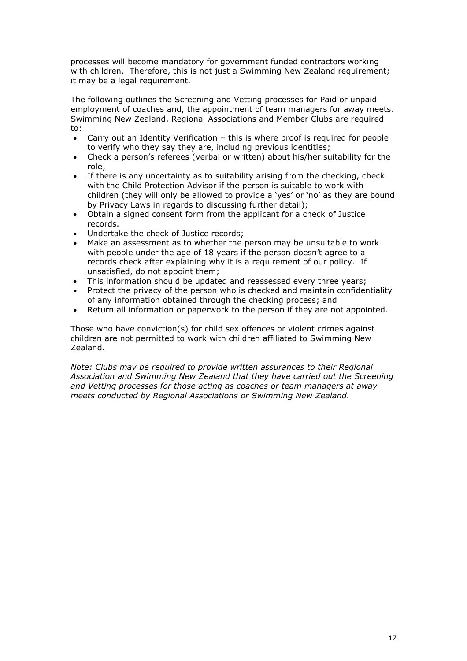processes will become mandatory for government funded contractors working with children. Therefore, this is not just a Swimming New Zealand requirement; it may be a legal requirement.

The following outlines the Screening and Vetting processes for Paid or unpaid employment of coaches and, the appointment of team managers for away meets. Swimming New Zealand, Regional Associations and Member Clubs are required to:

- Carry out an Identity Verification this is where proof is required for people to verify who they say they are, including previous identities;
- Check a person's referees (verbal or written) about his/her suitability for the role;
- If there is any uncertainty as to suitability arising from the checking, check with the Child Protection Advisor if the person is suitable to work with children (they will only be allowed to provide a 'yes' or 'no' as they are bound by Privacy Laws in regards to discussing further detail);
- Obtain a signed consent form from the applicant for a check of Justice records.
- Undertake the check of Justice records;
- Make an assessment as to whether the person may be unsuitable to work with people under the age of 18 years if the person doesn't agree to a records check after explaining why it is a requirement of our policy. If unsatisfied, do not appoint them;
- This information should be updated and reassessed every three years;
- Protect the privacy of the person who is checked and maintain confidentiality of any information obtained through the checking process; and
- Return all information or paperwork to the person if they are not appointed.

Those who have conviction(s) for child sex offences or violent crimes against children are not permitted to work with children affiliated to Swimming New Zealand.

*Note: Clubs may be required to provide written assurances to their Regional Association and Swimming New Zealand that they have carried out the Screening and Vetting processes for those acting as coaches or team managers at away meets conducted by Regional Associations or Swimming New Zealand.*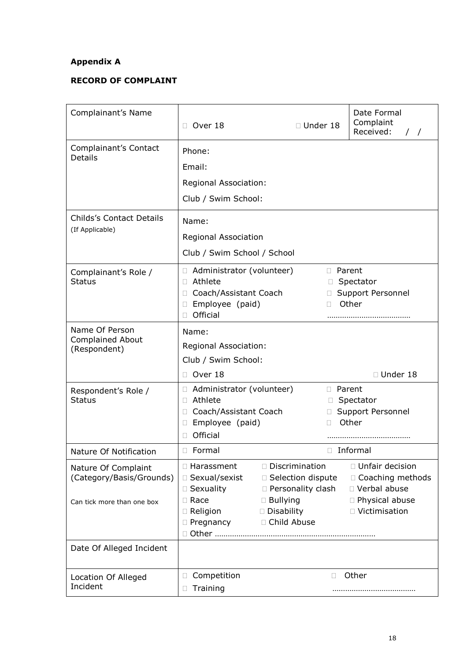## **Appendix A**

## **RECORD OF COMPLAINT**

| Complainant's Name                                                            | Over 18                                                                                                        | $\Box$ Under 18                                                                                                    |                                       | Date Formal<br>Complaint<br>Received:<br>$\frac{1}{2}$                                           |  |
|-------------------------------------------------------------------------------|----------------------------------------------------------------------------------------------------------------|--------------------------------------------------------------------------------------------------------------------|---------------------------------------|--------------------------------------------------------------------------------------------------|--|
| Complainant's Contact<br><b>Details</b>                                       | Phone:<br>Email:<br>Regional Association:<br>Club / Swim School:                                               |                                                                                                                    |                                       |                                                                                                  |  |
| Childs's Contact Details<br>(If Applicable)                                   | Name:<br>Regional Association<br>Club / Swim School / School                                                   |                                                                                                                    |                                       |                                                                                                  |  |
| Complainant's Role /<br><b>Status</b>                                         | □ Administrator (volunteer)<br>□ Athlete<br>Coach/Assistant Coach<br>□ Employee (paid)<br>Official             |                                                                                                                    | <b>D</b> Parent<br>П.<br>$\Box$<br>П. | Spectator<br>Support Personnel<br>Other                                                          |  |
| Name Of Person<br><b>Complained About</b><br>(Respondent)                     | Name:<br>Regional Association:<br>Club / Swim School:<br>Over 18<br>П                                          |                                                                                                                    |                                       | □ Under 18                                                                                       |  |
| Respondent's Role /<br><b>Status</b>                                          | □ Administrator (volunteer)<br>Athlete<br>$\Box$<br>Coach/Assistant Coach<br>Employee (paid)<br>u.<br>Official | D Parent<br>П.<br>П.                                                                                               |                                       | Spectator<br>□ Support Personnel<br>Other                                                        |  |
| Nature Of Notification                                                        | □ Formal                                                                                                       | □ Informal                                                                                                         |                                       |                                                                                                  |  |
| Nature Of Complaint<br>(Category/Basis/Grounds)<br>Can tick more than one box | □ Harassment<br>□ Sexual/sexist<br>□ Sexuality<br>□ Race<br>$\Box$ Religion<br>$\Box$ Pregnancy                | □ Discrimination<br>□ Selection dispute<br>□ Personality clash<br>$\Box$ Bullying<br>□ Disability<br>□ Child Abuse |                                       | □ Unfair decision<br>□ Coaching methods<br>□ Verbal abuse<br>□ Physical abuse<br>□ Victimisation |  |
| Date Of Alleged Incident                                                      |                                                                                                                |                                                                                                                    |                                       |                                                                                                  |  |
| Location Of Alleged<br>Incident                                               | Competition<br>0<br>Training                                                                                   |                                                                                                                    | Ш                                     | Other                                                                                            |  |